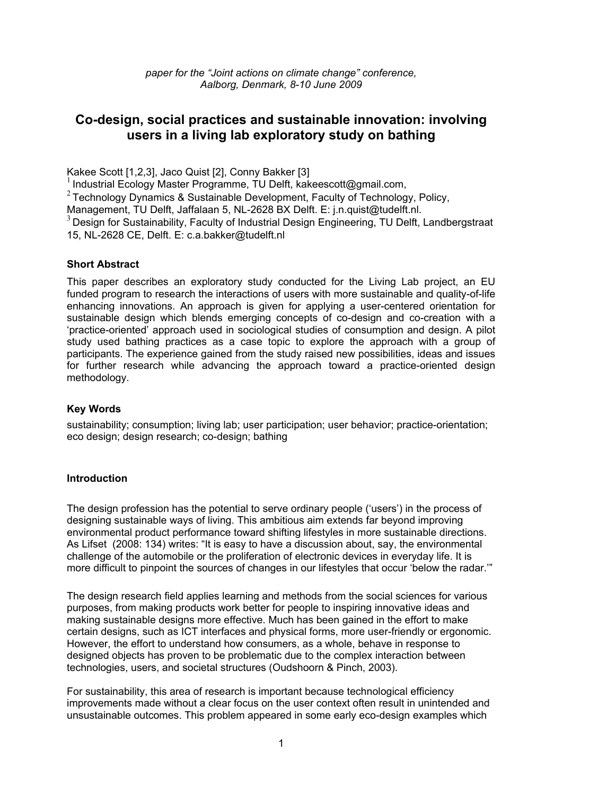## **Co-design, social practices and sustainable innovation: involving users in a living lab exploratory study on bathing**

Kakee Scott [1,2,3], Jaco Quist [2], Conny Bakker [3]

<sup>1</sup>Industrial Ecology Master Programme, TU Delft, kakeescott@gmail.com,

<sup>2</sup> Technology Dynamics & Sustainable Development, Faculty of Technology, Policy,

Management, TU Delft, Jaffalaan 5, NL-2628 BX Delft. E: j.n.quist@tudelft.nl.

 $3$  Design for Sustainability, Faculty of Industrial Design Engineering, TU Delft, Landbergstraat 15, NL-2628 CE, Delft. E: c.a.bakker@tudelft.nl

## **Short Abstract**

This paper describes an exploratory study conducted for the Living Lab project, an EU funded program to research the interactions of users with more sustainable and quality-of-life enhancing innovations. An approach is given for applying a user-centered orientation for sustainable design which blends emerging concepts of co-design and co-creation with a 'practice-oriented' approach used in sociological studies of consumption and design. A pilot study used bathing practices as a case topic to explore the approach with a group of participants. The experience gained from the study raised new possibilities, ideas and issues for further research while advancing the approach toward a practice-oriented design methodology.

## **Key Words**

sustainability; consumption; living lab; user participation; user behavior; practice-orientation; eco design; design research; co-design; bathing

## **Introduction**

The design profession has the potential to serve ordinary people ('users') in the process of designing sustainable ways of living. This ambitious aim extends far beyond improving environmental product performance toward shifting lifestyles in more sustainable directions. As Lifset (2008: 134) writes: "It is easy to have a discussion about, say, the environmental challenge of the automobile or the proliferation of electronic devices in everyday life. It is more difficult to pinpoint the sources of changes in our lifestyles that occur 'below the radar.'"

The design research field applies learning and methods from the social sciences for various purposes, from making products work better for people to inspiring innovative ideas and making sustainable designs more effective. Much has been gained in the effort to make certain designs, such as ICT interfaces and physical forms, more user-friendly or ergonomic. However, the effort to understand how consumers, as a whole, behave in response to designed objects has proven to be problematic due to the complex interaction between technologies, users, and societal structures (Oudshoorn & Pinch, 2003).

For sustainability, this area of research is important because technological efficiency improvements made without a clear focus on the user context often result in unintended and unsustainable outcomes. This problem appeared in some early eco-design examples which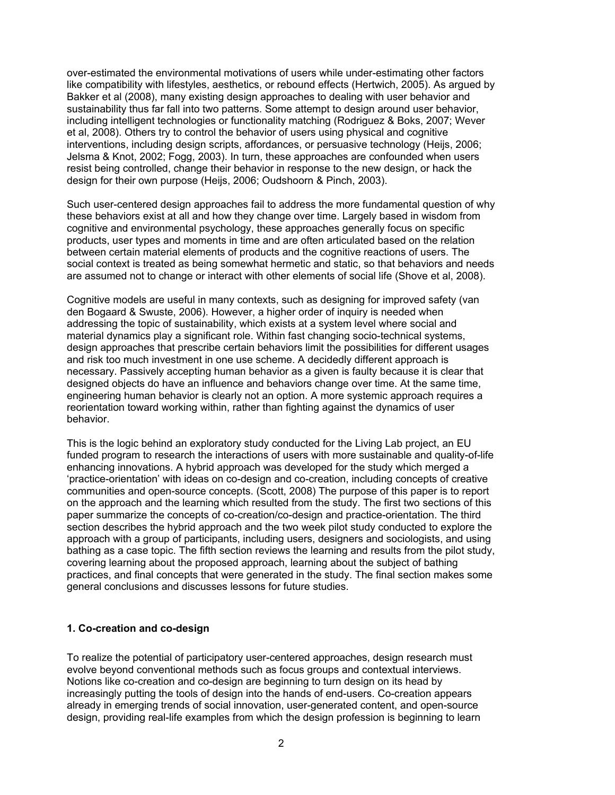over-estimated the environmental motivations of users while under-estimating other factors like compatibility with lifestyles, aesthetics, or rebound effects (Hertwich, 2005). As argued by Bakker et al (2008), many existing design approaches to dealing with user behavior and sustainability thus far fall into two patterns. Some attempt to design around user behavior, including intelligent technologies or functionality matching (Rodriguez & Boks, 2007; Wever et al, 2008). Others try to control the behavior of users using physical and cognitive interventions, including design scripts, affordances, or persuasive technology (Heijs, 2006; Jelsma & Knot, 2002; Fogg, 2003). In turn, these approaches are confounded when users resist being controlled, change their behavior in response to the new design, or hack the design for their own purpose (Heijs, 2006; Oudshoorn & Pinch, 2003).

Such user-centered design approaches fail to address the more fundamental question of why these behaviors exist at all and how they change over time. Largely based in wisdom from cognitive and environmental psychology, these approaches generally focus on specific products, user types and moments in time and are often articulated based on the relation between certain material elements of products and the cognitive reactions of users. The social context is treated as being somewhat hermetic and static, so that behaviors and needs are assumed not to change or interact with other elements of social life (Shove et al, 2008).

Cognitive models are useful in many contexts, such as designing for improved safety (van den Bogaard & Swuste, 2006). However, a higher order of inquiry is needed when addressing the topic of sustainability, which exists at a system level where social and material dynamics play a significant role. Within fast changing socio-technical systems, design approaches that prescribe certain behaviors limit the possibilities for different usages and risk too much investment in one use scheme. A decidedly different approach is necessary. Passively accepting human behavior as a given is faulty because it is clear that designed objects do have an influence and behaviors change over time. At the same time, engineering human behavior is clearly not an option. A more systemic approach requires a reorientation toward working within, rather than fighting against the dynamics of user behavior.

This is the logic behind an exploratory study conducted for the Living Lab project, an EU funded program to research the interactions of users with more sustainable and quality-of-life enhancing innovations. A hybrid approach was developed for the study which merged a 'practice-orientation' with ideas on co-design and co-creation, including concepts of creative communities and open-source concepts. (Scott, 2008) The purpose of this paper is to report on the approach and the learning which resulted from the study. The first two sections of this paper summarize the concepts of co-creation/co-design and practice-orientation. The third section describes the hybrid approach and the two week pilot study conducted to explore the approach with a group of participants, including users, designers and sociologists, and using bathing as a case topic. The fifth section reviews the learning and results from the pilot study, covering learning about the proposed approach, learning about the subject of bathing practices, and final concepts that were generated in the study. The final section makes some general conclusions and discusses lessons for future studies.

#### **1. Co-creation and co-design**

To realize the potential of participatory user-centered approaches, design research must evolve beyond conventional methods such as focus groups and contextual interviews. Notions like co-creation and co-design are beginning to turn design on its head by increasingly putting the tools of design into the hands of end-users. Co-creation appears already in emerging trends of social innovation, user-generated content, and open-source design, providing real-life examples from which the design profession is beginning to learn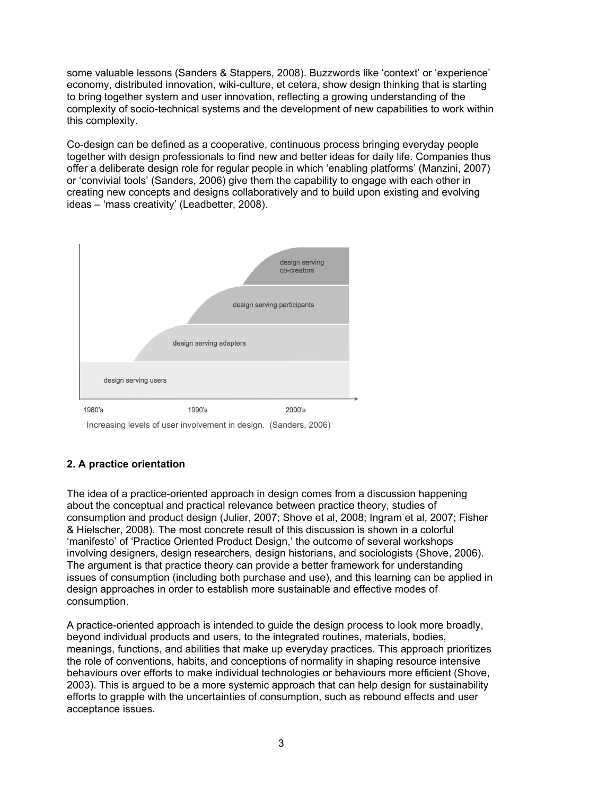some valuable lessons (Sanders & Stappers, 2008). Buzzwords like 'context' or 'experience' economy, distributed innovation, wiki-culture, et cetera, show design thinking that is starting to bring together system and user innovation, reflecting a growing understanding of the complexity of socio-technical systems and the development of new capabilities to work within this complexity.

Co-design can be defined as a cooperative, continuous process bringing everyday people together with design professionals to find new and better ideas for daily life. Companies thus offer a deliberate design role for regular people in which 'enabling platforms' (Manzini, 2007) or 'convivial tools' (Sanders, 2006) give them the capability to engage with each other in creating new concepts and designs collaboratively and to build upon existing and evolving ideas – 'mass creativity' (Leadbetter, 2008).



Increasing levels of user involvement in design. (Sanders, 2006)

## **2. A practice orientation**

The idea of a practice-oriented approach in design comes from a discussion happening about the conceptual and practical relevance between practice theory, studies of consumption and product design (Julier, 2007; Shove et al, 2008; Ingram et al, 2007; Fisher & Hielscher, 2008). The most concrete result of this discussion is shown in a colorful 'manifesto' of 'Practice Oriented Product Design,' the outcome of several workshops involving designers, design researchers, design historians, and sociologists (Shove, 2006). The argument is that practice theory can provide a better framework for understanding issues of consumption (including both purchase and use), and this learning can be applied in design approaches in order to establish more sustainable and effective modes of consumption.

A practice-oriented approach is intended to guide the design process to look more broadly, beyond individual products and users, to the integrated routines, materials, bodies, meanings, functions, and abilities that make up everyday practices. This approach prioritizes the role of conventions, habits, and conceptions of normality in shaping resource intensive behaviours over efforts to make individual technologies or behaviours more efficient (Shove, 2003). This is argued to be a more systemic approach that can help design for sustainability efforts to grapple with the uncertainties of consumption, such as rebound effects and user acceptance issues.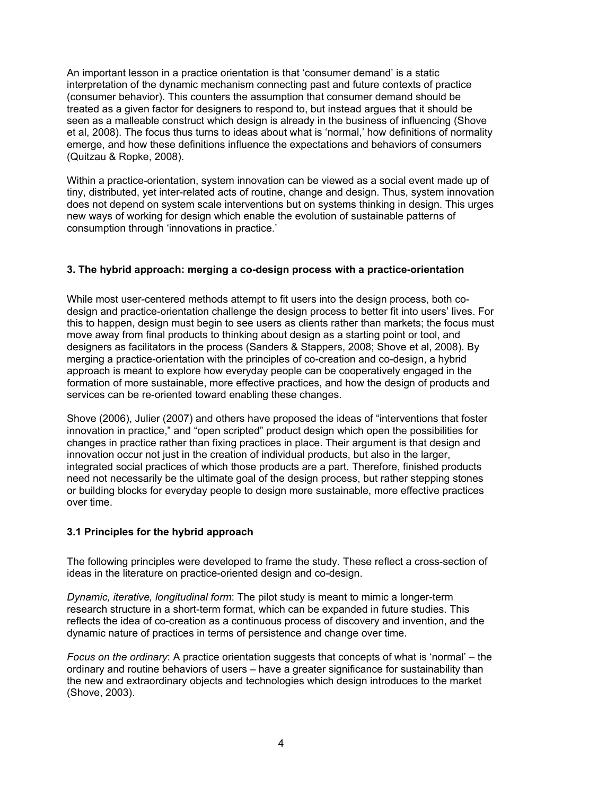An important lesson in a practice orientation is that 'consumer demand' is a static interpretation of the dynamic mechanism connecting past and future contexts of practice (consumer behavior). This counters the assumption that consumer demand should be treated as a given factor for designers to respond to, but instead argues that it should be seen as a malleable construct which design is already in the business of influencing (Shove et al, 2008). The focus thus turns to ideas about what is 'normal,' how definitions of normality emerge, and how these definitions influence the expectations and behaviors of consumers (Quitzau & Ropke, 2008).

Within a practice-orientation, system innovation can be viewed as a social event made up of tiny, distributed, yet inter-related acts of routine, change and design. Thus, system innovation does not depend on system scale interventions but on systems thinking in design. This urges new ways of working for design which enable the evolution of sustainable patterns of consumption through 'innovations in practice.'

## **3. The hybrid approach: merging a co-design process with a practice-orientation**

While most user-centered methods attempt to fit users into the design process, both codesign and practice-orientation challenge the design process to better fit into users' lives. For this to happen, design must begin to see users as clients rather than markets; the focus must move away from final products to thinking about design as a starting point or tool, and designers as facilitators in the process (Sanders & Stappers, 2008; Shove et al, 2008). By merging a practice-orientation with the principles of co-creation and co-design, a hybrid approach is meant to explore how everyday people can be cooperatively engaged in the formation of more sustainable, more effective practices, and how the design of products and services can be re-oriented toward enabling these changes.

Shove (2006), Julier (2007) and others have proposed the ideas of "interventions that foster innovation in practice," and "open scripted" product design which open the possibilities for changes in practice rather than fixing practices in place. Their argument is that design and innovation occur not just in the creation of individual products, but also in the larger, integrated social practices of which those products are a part. Therefore, finished products need not necessarily be the ultimate goal of the design process, but rather stepping stones or building blocks for everyday people to design more sustainable, more effective practices over time.

## **3.1 Principles for the hybrid approach**

The following principles were developed to frame the study. These reflect a cross-section of ideas in the literature on practice-oriented design and co-design.

*Dynamic, iterative, longitudinal form*: The pilot study is meant to mimic a longer-term research structure in a short-term format, which can be expanded in future studies. This reflects the idea of co-creation as a continuous process of discovery and invention, and the dynamic nature of practices in terms of persistence and change over time.

*Focus on the ordinary*: A practice orientation suggests that concepts of what is 'normal' – the ordinary and routine behaviors of users – have a greater significance for sustainability than the new and extraordinary objects and technologies which design introduces to the market (Shove, 2003).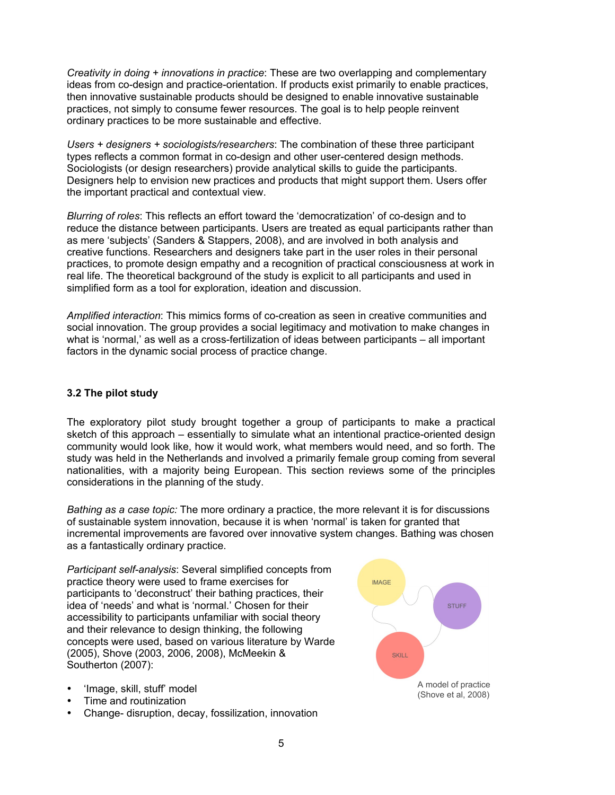*Creativity in doing + innovations in practice*: These are two overlapping and complementary ideas from co-design and practice-orientation. If products exist primarily to enable practices, then innovative sustainable products should be designed to enable innovative sustainable practices, not simply to consume fewer resources. The goal is to help people reinvent ordinary practices to be more sustainable and effective.

*Users + designers + sociologists/researchers*: The combination of these three participant types reflects a common format in co-design and other user-centered design methods. Sociologists (or design researchers) provide analytical skills to guide the participants. Designers help to envision new practices and products that might support them. Users offer the important practical and contextual view.

*Blurring of roles*: This reflects an effort toward the 'democratization' of co-design and to reduce the distance between participants. Users are treated as equal participants rather than as mere 'subjects' (Sanders & Stappers, 2008), and are involved in both analysis and creative functions. Researchers and designers take part in the user roles in their personal practices, to promote design empathy and a recognition of practical consciousness at work in real life. The theoretical background of the study is explicit to all participants and used in simplified form as a tool for exploration, ideation and discussion.

*Amplified interaction*: This mimics forms of co-creation as seen in creative communities and social innovation. The group provides a social legitimacy and motivation to make changes in what is 'normal,' as well as a cross-fertilization of ideas between participants – all important factors in the dynamic social process of practice change.

#### **3.2 The pilot study**

The exploratory pilot study brought together a group of participants to make a practical sketch of this approach – essentially to simulate what an intentional practice-oriented design community would look like, how it would work, what members would need, and so forth. The study was held in the Netherlands and involved a primarily female group coming from several nationalities, with a majority being European. This section reviews some of the principles considerations in the planning of the study.

*Bathing as a case topic:* The more ordinary a practice, the more relevant it is for discussions of sustainable system innovation, because it is when 'normal' is taken for granted that incremental improvements are favored over innovative system changes. Bathing was chosen as a fantastically ordinary practice.

*Participant self-analysis*: Several simplified concepts from practice theory were used to frame exercises for participants to 'deconstruct' their bathing practices, their idea of 'needs' and what is 'normal.' Chosen for their accessibility to participants unfamiliar with social theory and their relevance to design thinking, the following concepts were used, based on various literature by Warde (2005), Shove (2003, 2006, 2008), McMeekin & Southerton (2007):



- Time and routinization
- Change- disruption, decay, fossilization, innovation

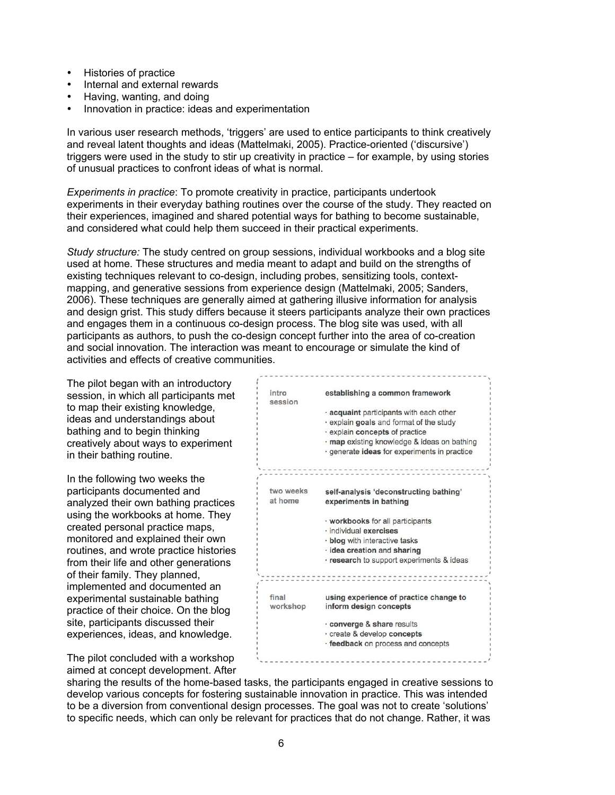- Histories of practice
- Internal and external rewards
- Having, wanting, and doing
- Innovation in practice: ideas and experimentation

In various user research methods, 'triggers' are used to entice participants to think creatively and reveal latent thoughts and ideas (Mattelmaki, 2005). Practice-oriented ('discursive') triggers were used in the study to stir up creativity in practice – for example, by using stories of unusual practices to confront ideas of what is normal.

*Experiments in practice*: To promote creativity in practice, participants undertook experiments in their everyday bathing routines over the course of the study. They reacted on their experiences, imagined and shared potential ways for bathing to become sustainable, and considered what could help them succeed in their practical experiments.

*Study structure:* The study centred on group sessions, individual workbooks and a blog site used at home. These structures and media meant to adapt and build on the strengths of existing techniques relevant to co-design, including probes, sensitizing tools, contextmapping, and generative sessions from experience design (Mattelmaki, 2005; Sanders, 2006). These techniques are generally aimed at gathering illusive information for analysis and design grist. This study differs because it steers participants analyze their own practices and engages them in a continuous co-design process. The blog site was used, with all participants as authors, to push the co-design concept further into the area of co-creation and social innovation. The interaction was meant to encourage or simulate the kind of activities and effects of creative communities.

The pilot began with an introductory session, in which all participants met to map their existing knowledge, ideas and understandings about bathing and to begin thinking creatively about ways to experiment in their bathing routine.

In the following two weeks the participants documented and analyzed their own bathing practices using the workbooks at home. They created personal practice maps, monitored and explained their own routines, and wrote practice histories from their life and other generations of their family. They planned, implemented and documented an experimental sustainable bathing practice of their choice. On the blog site, participants discussed their experiences, ideas, and knowledge.

establishing a common framework intro eaccion · acquaint participants with each other · explain goals and format of the study · explain concepts of practice · map existing knowledge & ideas on bathing · generate ideas for experiments in practice two weeks self-analysis 'deconstructing bathing' at home experiments in bathing · workbooks for all participants · individual exercises · blog with interactive tasks · idea creation and sharing · research to support experiments & ideas final using experience of practice change to workshop inform design concepts · converge & share results · create & develop concepts · feedback on process and concepts

The pilot concluded with a workshop aimed at concept development. After

sharing the results of the home-based tasks, the participants engaged in creative sessions to develop various concepts for fostering sustainable innovation in practice. This was intended to be a diversion from conventional design processes. The goal was not to create 'solutions' to specific needs, which can only be relevant for practices that do not change. Rather, it was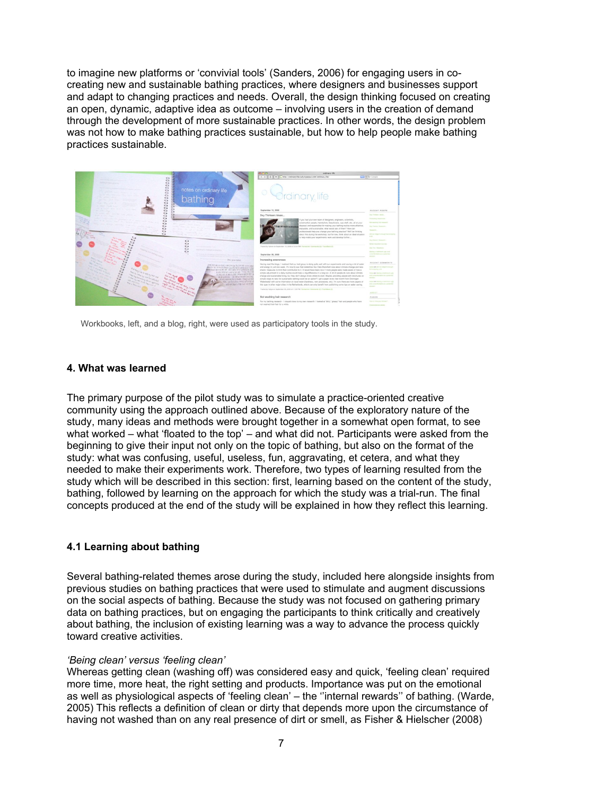to imagine new platforms or 'convivial tools' (Sanders, 2006) for engaging users in cocreating new and sustainable bathing practices, where designers and businesses support and adapt to changing practices and needs. Overall, the design thinking focused on creating an open, dynamic, adaptive idea as outcome – involving users in the creation of demand through the development of more sustainable practices. In other words, the design problem was not how to make bathing practices sustainable, but how to help people make bathing practices sustainable.



Workbooks, left, and a blog, right, were used as participatory tools in the study.

#### **4. What was learned**

The primary purpose of the pilot study was to simulate a practice-oriented creative community using the approach outlined above. Because of the exploratory nature of the study, many ideas and methods were brought together in a somewhat open format, to see what worked – what 'floated to the top' – and what did not. Participants were asked from the beginning to give their input not only on the topic of bathing, but also on the format of the study: what was confusing, useful, useless, fun, aggravating, et cetera, and what they needed to make their experiments work. Therefore, two types of learning resulted from the study which will be described in this section: first, learning based on the content of the study, bathing, followed by learning on the approach for which the study was a trial-run. The final concepts produced at the end of the study will be explained in how they reflect this learning.

## **4.1 Learning about bathing**

Several bathing-related themes arose during the study, included here alongside insights from previous studies on bathing practices that were used to stimulate and augment discussions on the social aspects of bathing. Because the study was not focused on gathering primary data on bathing practices, but on engaging the participants to think critically and creatively about bathing, the inclusion of existing learning was a way to advance the process quickly toward creative activities.

#### *'Being clean' versus 'feeling clean'*

Whereas getting clean (washing off) was considered easy and quick, 'feeling clean' required more time, more heat, the right setting and products. Importance was put on the emotional as well as physiological aspects of 'feeling clean' – the ''internal rewards'' of bathing. (Warde, 2005) This reflects a definition of clean or dirty that depends more upon the circumstance of having not washed than on any real presence of dirt or smell, as Fisher & Hielscher (2008)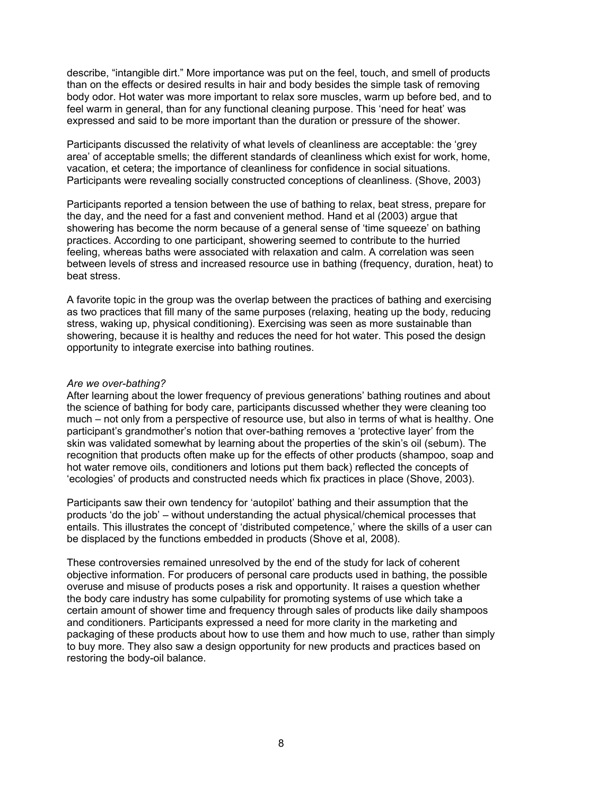describe, "intangible dirt." More importance was put on the feel, touch, and smell of products than on the effects or desired results in hair and body besides the simple task of removing body odor. Hot water was more important to relax sore muscles, warm up before bed, and to feel warm in general, than for any functional cleaning purpose. This 'need for heat' was expressed and said to be more important than the duration or pressure of the shower.

Participants discussed the relativity of what levels of cleanliness are acceptable: the 'grey area' of acceptable smells; the different standards of cleanliness which exist for work, home, vacation, et cetera; the importance of cleanliness for confidence in social situations. Participants were revealing socially constructed conceptions of cleanliness. (Shove, 2003)

Participants reported a tension between the use of bathing to relax, beat stress, prepare for the day, and the need for a fast and convenient method. Hand et al (2003) argue that showering has become the norm because of a general sense of 'time squeeze' on bathing practices. According to one participant, showering seemed to contribute to the hurried feeling, whereas baths were associated with relaxation and calm. A correlation was seen between levels of stress and increased resource use in bathing (frequency, duration, heat) to beat stress.

A favorite topic in the group was the overlap between the practices of bathing and exercising as two practices that fill many of the same purposes (relaxing, heating up the body, reducing stress, waking up, physical conditioning). Exercising was seen as more sustainable than showering, because it is healthy and reduces the need for hot water. This posed the design opportunity to integrate exercise into bathing routines.

#### *Are we over-bathing?*

After learning about the lower frequency of previous generations' bathing routines and about the science of bathing for body care, participants discussed whether they were cleaning too much – not only from a perspective of resource use, but also in terms of what is healthy. One participant's grandmother's notion that over-bathing removes a 'protective layer' from the skin was validated somewhat by learning about the properties of the skin's oil (sebum). The recognition that products often make up for the effects of other products (shampoo, soap and hot water remove oils, conditioners and lotions put them back) reflected the concepts of 'ecologies' of products and constructed needs which fix practices in place (Shove, 2003).

Participants saw their own tendency for 'autopilot' bathing and their assumption that the products 'do the job' – without understanding the actual physical/chemical processes that entails. This illustrates the concept of 'distributed competence,' where the skills of a user can be displaced by the functions embedded in products (Shove et al, 2008).

These controversies remained unresolved by the end of the study for lack of coherent objective information. For producers of personal care products used in bathing, the possible overuse and misuse of products poses a risk and opportunity. It raises a question whether the body care industry has some culpability for promoting systems of use which take a certain amount of shower time and frequency through sales of products like daily shampoos and conditioners. Participants expressed a need for more clarity in the marketing and packaging of these products about how to use them and how much to use, rather than simply to buy more. They also saw a design opportunity for new products and practices based on restoring the body-oil balance.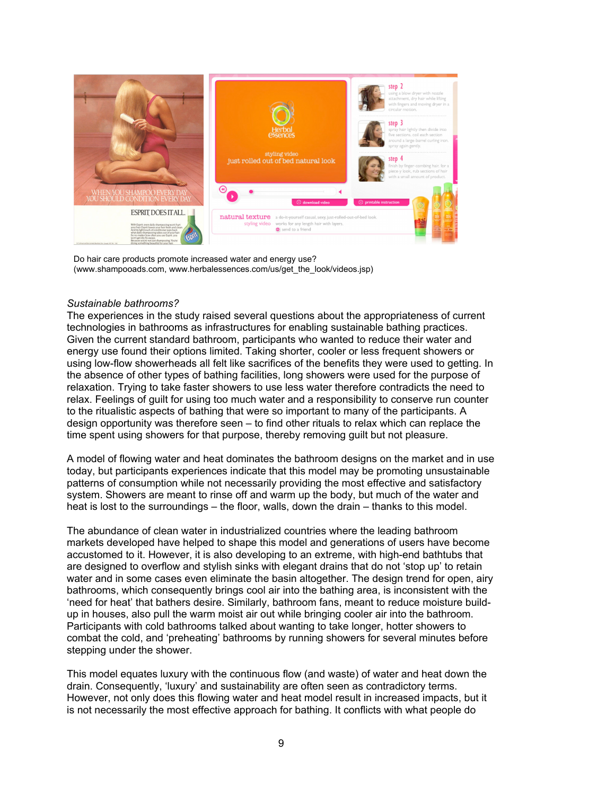

Do hair care products promote increased water and energy use? (www.shampooads.com, www.herbalessences.com/us/get\_the\_look/videos.jsp)

## *Sustainable bathrooms?*

The experiences in the study raised several questions about the appropriateness of current technologies in bathrooms as infrastructures for enabling sustainable bathing practices. Given the current standard bathroom, participants who wanted to reduce their water and energy use found their options limited. Taking shorter, cooler or less frequent showers or using low-flow showerheads all felt like sacrifices of the benefits they were used to getting. In the absence of other types of bathing facilities, long showers were used for the purpose of relaxation. Trying to take faster showers to use less water therefore contradicts the need to relax. Feelings of guilt for using too much water and a responsibility to conserve run counter to the ritualistic aspects of bathing that were so important to many of the participants. A design opportunity was therefore seen – to find other rituals to relax which can replace the time spent using showers for that purpose, thereby removing guilt but not pleasure.

A model of flowing water and heat dominates the bathroom designs on the market and in use today, but participants experiences indicate that this model may be promoting unsustainable patterns of consumption while not necessarily providing the most effective and satisfactory system. Showers are meant to rinse off and warm up the body, but much of the water and heat is lost to the surroundings – the floor, walls, down the drain – thanks to this model.

The abundance of clean water in industrialized countries where the leading bathroom markets developed have helped to shape this model and generations of users have become accustomed to it. However, it is also developing to an extreme, with high-end bathtubs that are designed to overflow and stylish sinks with elegant drains that do not 'stop up' to retain water and in some cases even eliminate the basin altogether. The design trend for open, airy bathrooms, which consequently brings cool air into the bathing area, is inconsistent with the 'need for heat' that bathers desire. Similarly, bathroom fans, meant to reduce moisture buildup in houses, also pull the warm moist air out while bringing cooler air into the bathroom. Participants with cold bathrooms talked about wanting to take longer, hotter showers to combat the cold, and 'preheating' bathrooms by running showers for several minutes before stepping under the shower.

This model equates luxury with the continuous flow (and waste) of water and heat down the drain. Consequently, 'luxury' and sustainability are often seen as contradictory terms. However, not only does this flowing water and heat model result in increased impacts, but it is not necessarily the most effective approach for bathing. It conflicts with what people do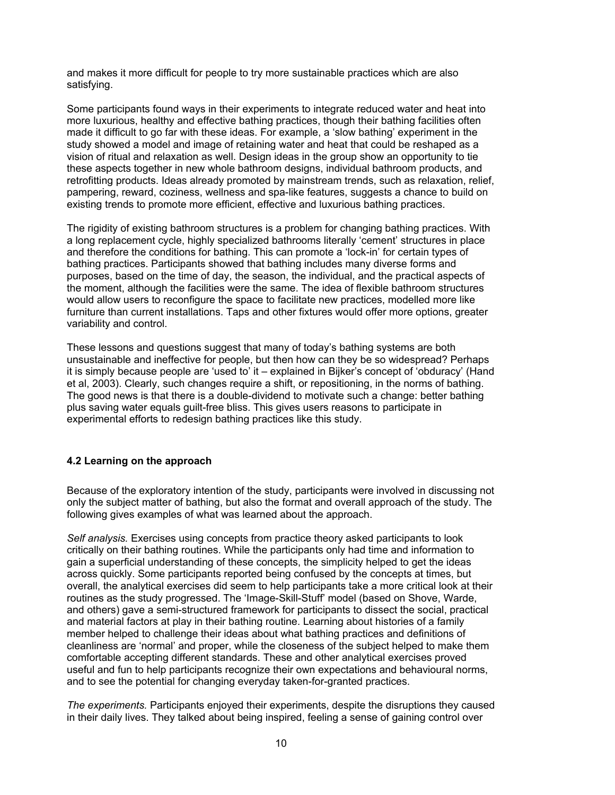and makes it more difficult for people to try more sustainable practices which are also satisfying.

Some participants found ways in their experiments to integrate reduced water and heat into more luxurious, healthy and effective bathing practices, though their bathing facilities often made it difficult to go far with these ideas. For example, a 'slow bathing' experiment in the study showed a model and image of retaining water and heat that could be reshaped as a vision of ritual and relaxation as well. Design ideas in the group show an opportunity to tie these aspects together in new whole bathroom designs, individual bathroom products, and retrofitting products. Ideas already promoted by mainstream trends, such as relaxation, relief, pampering, reward, coziness, wellness and spa-like features, suggests a chance to build on existing trends to promote more efficient, effective and luxurious bathing practices.

The rigidity of existing bathroom structures is a problem for changing bathing practices. With a long replacement cycle, highly specialized bathrooms literally 'cement' structures in place and therefore the conditions for bathing. This can promote a 'lock-in' for certain types of bathing practices. Participants showed that bathing includes many diverse forms and purposes, based on the time of day, the season, the individual, and the practical aspects of the moment, although the facilities were the same. The idea of flexible bathroom structures would allow users to reconfigure the space to facilitate new practices, modelled more like furniture than current installations. Taps and other fixtures would offer more options, greater variability and control.

These lessons and questions suggest that many of today's bathing systems are both unsustainable and ineffective for people, but then how can they be so widespread? Perhaps it is simply because people are 'used to' it – explained in Bijker's concept of 'obduracy' (Hand et al, 2003). Clearly, such changes require a shift, or repositioning, in the norms of bathing. The good news is that there is a double-dividend to motivate such a change: better bathing plus saving water equals guilt-free bliss. This gives users reasons to participate in experimental efforts to redesign bathing practices like this study.

## **4.2 Learning on the approach**

Because of the exploratory intention of the study, participants were involved in discussing not only the subject matter of bathing, but also the format and overall approach of the study. The following gives examples of what was learned about the approach.

*Self analysis.* Exercises using concepts from practice theory asked participants to look critically on their bathing routines. While the participants only had time and information to gain a superficial understanding of these concepts, the simplicity helped to get the ideas across quickly. Some participants reported being confused by the concepts at times, but overall, the analytical exercises did seem to help participants take a more critical look at their routines as the study progressed. The 'Image-Skill-Stuff' model (based on Shove, Warde, and others) gave a semi-structured framework for participants to dissect the social, practical and material factors at play in their bathing routine. Learning about histories of a family member helped to challenge their ideas about what bathing practices and definitions of cleanliness are 'normal' and proper, while the closeness of the subject helped to make them comfortable accepting different standards. These and other analytical exercises proved useful and fun to help participants recognize their own expectations and behavioural norms, and to see the potential for changing everyday taken-for-granted practices.

*The experiments.* Participants enjoyed their experiments, despite the disruptions they caused in their daily lives. They talked about being inspired, feeling a sense of gaining control over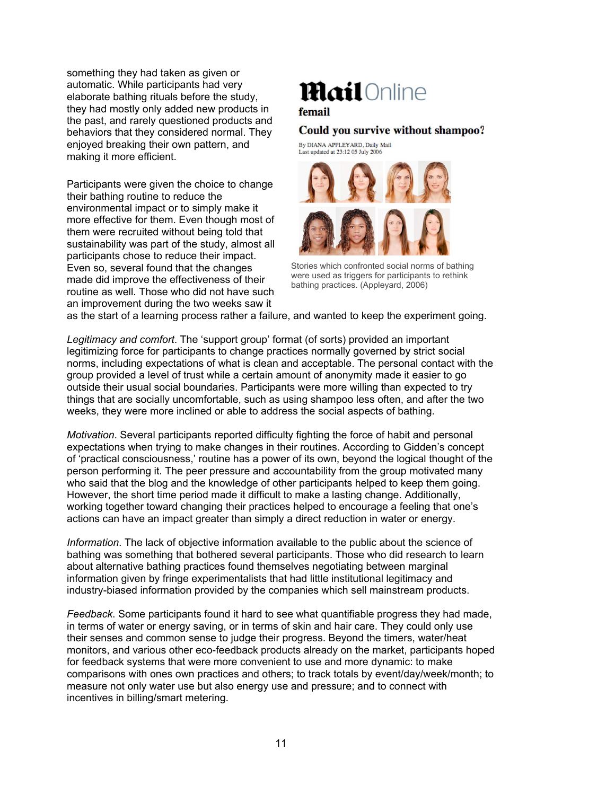something they had taken as given or automatic. While participants had very elaborate bathing rituals before the study, they had mostly only added new products in the past, and rarely questioned products and behaviors that they considered normal. They enjoyed breaking their own pattern, and making it more efficient.

Participants were given the choice to change their bathing routine to reduce the environmental impact or to simply make it more effective for them. Even though most of them were recruited without being told that sustainability was part of the study, almost all participants chose to reduce their impact. Even so, several found that the changes made did improve the effectiveness of their routine as well. Those who did not have such an improvement during the two weeks saw it

# **Mail**Online

## femail

## Could you survive without shampoo?

By DIANA APPLEYARD, Daily Mail Last updated at 23:12 05 July 2006



Stories which confronted social norms of bathing were used as triggers for participants to rethink bathing practices. (Appleyard, 2006)

as the start of a learning process rather a failure, and wanted to keep the experiment going.

*Legitimacy and comfort*. The 'support group' format (of sorts) provided an important legitimizing force for participants to change practices normally governed by strict social norms, including expectations of what is clean and acceptable. The personal contact with the group provided a level of trust while a certain amount of anonymity made it easier to go outside their usual social boundaries. Participants were more willing than expected to try things that are socially uncomfortable, such as using shampoo less often, and after the two weeks, they were more inclined or able to address the social aspects of bathing.

*Motivation*. Several participants reported difficulty fighting the force of habit and personal expectations when trying to make changes in their routines. According to Gidden's concept of 'practical consciousness,' routine has a power of its own, beyond the logical thought of the person performing it. The peer pressure and accountability from the group motivated many who said that the blog and the knowledge of other participants helped to keep them going. However, the short time period made it difficult to make a lasting change. Additionally, working together toward changing their practices helped to encourage a feeling that one's actions can have an impact greater than simply a direct reduction in water or energy.

*Information*. The lack of objective information available to the public about the science of bathing was something that bothered several participants. Those who did research to learn about alternative bathing practices found themselves negotiating between marginal information given by fringe experimentalists that had little institutional legitimacy and industry-biased information provided by the companies which sell mainstream products.

*Feedback*. Some participants found it hard to see what quantifiable progress they had made, in terms of water or energy saving, or in terms of skin and hair care. They could only use their senses and common sense to judge their progress. Beyond the timers, water/heat monitors, and various other eco-feedback products already on the market, participants hoped for feedback systems that were more convenient to use and more dynamic: to make comparisons with ones own practices and others; to track totals by event/day/week/month; to measure not only water use but also energy use and pressure; and to connect with incentives in billing/smart metering.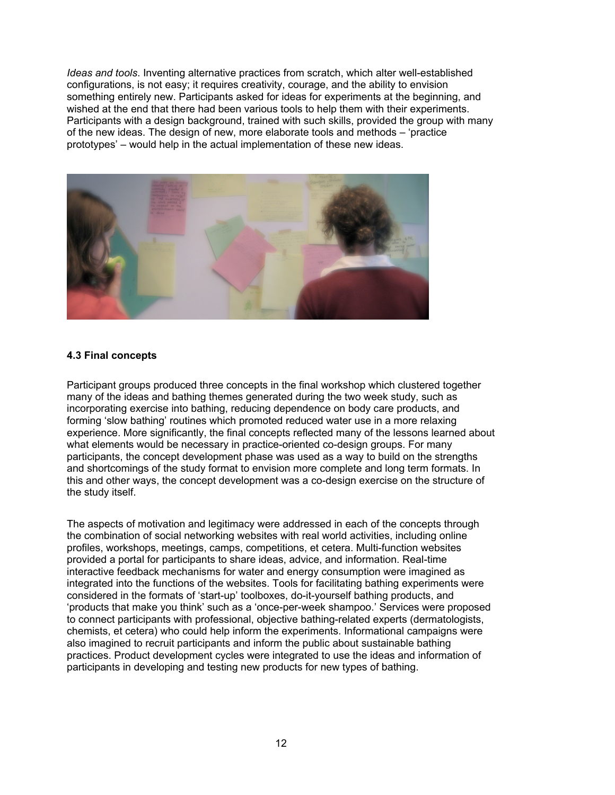*Ideas and tools*. Inventing alternative practices from scratch, which alter well-established configurations, is not easy; it requires creativity, courage, and the ability to envision something entirely new. Participants asked for ideas for experiments at the beginning, and wished at the end that there had been various tools to help them with their experiments. Participants with a design background, trained with such skills, provided the group with many of the new ideas. The design of new, more elaborate tools and methods – 'practice prototypes' – would help in the actual implementation of these new ideas.



## **4.3 Final concepts**

Participant groups produced three concepts in the final workshop which clustered together many of the ideas and bathing themes generated during the two week study, such as incorporating exercise into bathing, reducing dependence on body care products, and forming 'slow bathing' routines which promoted reduced water use in a more relaxing experience. More significantly, the final concepts reflected many of the lessons learned about what elements would be necessary in practice-oriented co-design groups. For many participants, the concept development phase was used as a way to build on the strengths and shortcomings of the study format to envision more complete and long term formats. In this and other ways, the concept development was a co-design exercise on the structure of the study itself.

The aspects of motivation and legitimacy were addressed in each of the concepts through the combination of social networking websites with real world activities, including online profiles, workshops, meetings, camps, competitions, et cetera. Multi-function websites provided a portal for participants to share ideas, advice, and information. Real-time interactive feedback mechanisms for water and energy consumption were imagined as integrated into the functions of the websites. Tools for facilitating bathing experiments were considered in the formats of 'start-up' toolboxes, do-it-yourself bathing products, and 'products that make you think' such as a 'once-per-week shampoo.' Services were proposed to connect participants with professional, objective bathing-related experts (dermatologists, chemists, et cetera) who could help inform the experiments. Informational campaigns were also imagined to recruit participants and inform the public about sustainable bathing practices. Product development cycles were integrated to use the ideas and information of participants in developing and testing new products for new types of bathing.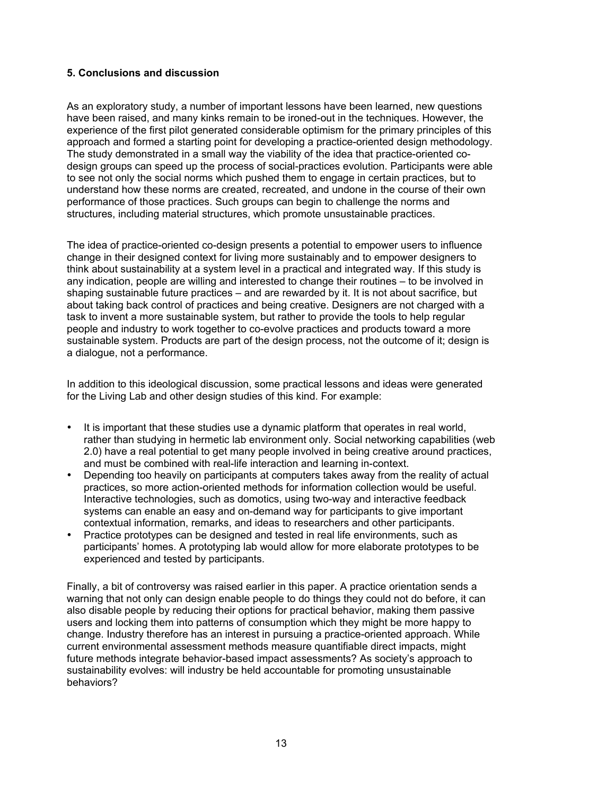## **5. Conclusions and discussion**

As an exploratory study, a number of important lessons have been learned, new questions have been raised, and many kinks remain to be ironed-out in the techniques. However, the experience of the first pilot generated considerable optimism for the primary principles of this approach and formed a starting point for developing a practice-oriented design methodology. The study demonstrated in a small way the viability of the idea that practice-oriented codesign groups can speed up the process of social-practices evolution. Participants were able to see not only the social norms which pushed them to engage in certain practices, but to understand how these norms are created, recreated, and undone in the course of their own performance of those practices. Such groups can begin to challenge the norms and structures, including material structures, which promote unsustainable practices.

The idea of practice-oriented co-design presents a potential to empower users to influence change in their designed context for living more sustainably and to empower designers to think about sustainability at a system level in a practical and integrated way. If this study is any indication, people are willing and interested to change their routines – to be involved in shaping sustainable future practices – and are rewarded by it. It is not about sacrifice, but about taking back control of practices and being creative. Designers are not charged with a task to invent a more sustainable system, but rather to provide the tools to help regular people and industry to work together to co-evolve practices and products toward a more sustainable system. Products are part of the design process, not the outcome of it; design is a dialogue, not a performance.

In addition to this ideological discussion, some practical lessons and ideas were generated for the Living Lab and other design studies of this kind. For example:

- It is important that these studies use a dynamic platform that operates in real world, rather than studying in hermetic lab environment only. Social networking capabilities (web 2.0) have a real potential to get many people involved in being creative around practices, and must be combined with real-life interaction and learning in-context.
- Depending too heavily on participants at computers takes away from the reality of actual practices, so more action-oriented methods for information collection would be useful. Interactive technologies, such as domotics, using two-way and interactive feedback systems can enable an easy and on-demand way for participants to give important contextual information, remarks, and ideas to researchers and other participants.
- Practice prototypes can be designed and tested in real life environments, such as participants' homes. A prototyping lab would allow for more elaborate prototypes to be experienced and tested by participants.

Finally, a bit of controversy was raised earlier in this paper. A practice orientation sends a warning that not only can design enable people to do things they could not do before, it can also disable people by reducing their options for practical behavior, making them passive users and locking them into patterns of consumption which they might be more happy to change. Industry therefore has an interest in pursuing a practice-oriented approach. While current environmental assessment methods measure quantifiable direct impacts, might future methods integrate behavior-based impact assessments? As society's approach to sustainability evolves: will industry be held accountable for promoting unsustainable behaviors?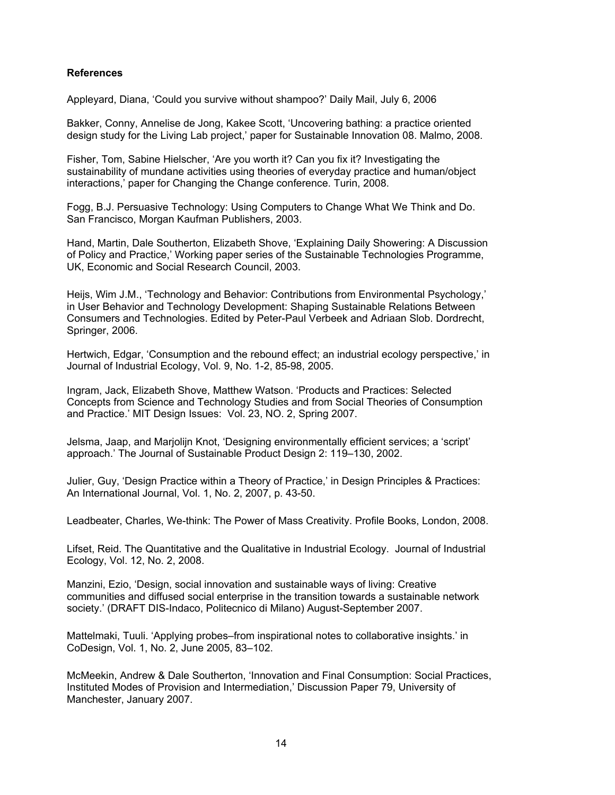#### **References**

Appleyard, Diana, 'Could you survive without shampoo?' Daily Mail, July 6, 2006

Bakker, Conny, Annelise de Jong, Kakee Scott, 'Uncovering bathing: a practice oriented design study for the Living Lab project,' paper for Sustainable Innovation 08. Malmo, 2008.

Fisher, Tom, Sabine Hielscher, 'Are you worth it? Can you fix it? Investigating the sustainability of mundane activities using theories of everyday practice and human/object interactions,' paper for Changing the Change conference. Turin, 2008.

Fogg, B.J. Persuasive Technology: Using Computers to Change What We Think and Do. San Francisco, Morgan Kaufman Publishers, 2003.

Hand, Martin, Dale Southerton, Elizabeth Shove, 'Explaining Daily Showering: A Discussion of Policy and Practice,' Working paper series of the Sustainable Technologies Programme, UK, Economic and Social Research Council, 2003.

Heijs, Wim J.M., 'Technology and Behavior: Contributions from Environmental Psychology,' in User Behavior and Technology Development: Shaping Sustainable Relations Between Consumers and Technologies. Edited by Peter-Paul Verbeek and Adriaan Slob. Dordrecht, Springer, 2006.

Hertwich, Edgar, 'Consumption and the rebound effect; an industrial ecology perspective,' in Journal of Industrial Ecology, Vol. 9, No. 1-2, 85-98, 2005.

Ingram, Jack, Elizabeth Shove, Matthew Watson. 'Products and Practices: Selected Concepts from Science and Technology Studies and from Social Theories of Consumption and Practice.' MIT Design Issues: Vol. 23, NO. 2, Spring 2007.

Jelsma, Jaap, and Marjolijn Knot, 'Designing environmentally efficient services; a 'script' approach.' The Journal of Sustainable Product Design 2: 119–130, 2002.

Julier, Guy, 'Design Practice within a Theory of Practice,' in Design Principles & Practices: An International Journal, Vol. 1, No. 2, 2007, p. 43-50.

Leadbeater, Charles, We-think: The Power of Mass Creativity. Profile Books, London, 2008.

Lifset, Reid. The Quantitative and the Qualitative in Industrial Ecology. Journal of Industrial Ecology, Vol. 12, No. 2, 2008.

Manzini, Ezio, 'Design, social innovation and sustainable ways of living: Creative communities and diffused social enterprise in the transition towards a sustainable network society.' (DRAFT DIS-Indaco, Politecnico di Milano) August-September 2007.

Mattelmaki, Tuuli. 'Applying probes–from inspirational notes to collaborative insights.' in CoDesign, Vol. 1, No. 2, June 2005, 83–102.

McMeekin, Andrew & Dale Southerton, 'Innovation and Final Consumption: Social Practices, Instituted Modes of Provision and Intermediation,' Discussion Paper 79, University of Manchester, January 2007.